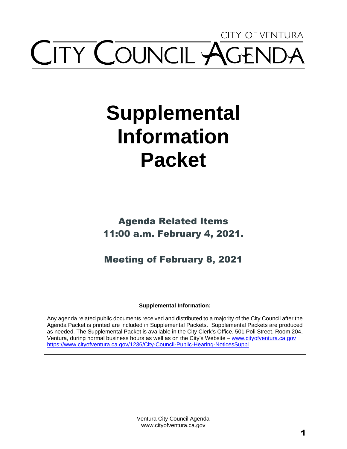## CITY OF VENTURA **ITY COUNCIL AGE**

## **Supplemental Information Packet**

Agenda Related Items 11:00 a.m. February 4, 2021.

Meeting of February 8, 2021

**Supplemental Information:** 

Any agenda related public documents received and distributed to a majority of the City Council after the Agenda Packet is printed are included in Supplemental Packets. Supplemental Packets are produced as needed. The Supplemental Packet is available in the City Clerk's Office, 501 Poli Street, Room 204, Ventura, during normal business hours as well as on the City's Website – [www.cityofventura.ca.gov](http://www.cityofventura.ca.gov/)  <https://www.cityofventura.ca.gov/1236/City-Council-Public-Hearing-NoticesSuppl>

> Ventura City Council Agenda www.cityofventura.ca.gov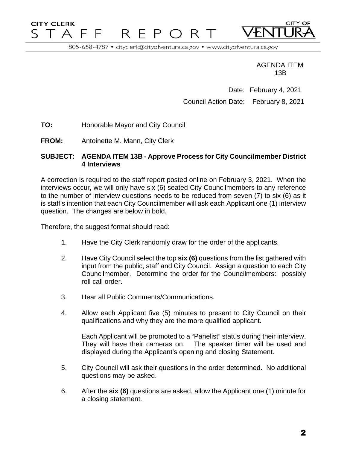## **CITY CLERK CITY OF** F. T A F REPO R T

805-658-4787 · cityclerk@cityofventura.ca.gov · www.cityofventura.ca.gov

AGENDA ITEM 13B

Date: February 4, 2021 Council Action Date: February 8, 2021

**TO:** Honorable Mayor and City Council

**FROM:** Antoinette M. Mann, City Clerk

## **SUBJECT: AGENDA ITEM 13B - Approve Process for City Councilmember District 4 Interviews**

A correction is required to the staff report posted online on February 3, 2021. When the interviews occur, we will only have six (6) seated City Councilmembers to any reference to the number of interview questions needs to be reduced from seven (7) to six (6) as it is staff's intention that each City Councilmember will ask each Applicant one (1) interview question. The changes are below in bold.

Therefore, the suggest format should read:

- 1. Have the City Clerk randomly draw for the order of the applicants.
- 2. Have City Council select the top **six (6)** questions from the list gathered with input from the public, staff and City Council. Assign a question to each City Councilmember. Determine the order for the Councilmembers: possibly roll call order.
- 3. Hear all Public Comments/Communications.
- 4. Allow each Applicant five (5) minutes to present to City Council on their qualifications and why they are the more qualified applicant.

Each Applicant will be promoted to a "Panelist" status during their interview. They will have their cameras on. The speaker timer will be used and displayed during the Applicant's opening and closing Statement.

- 5. City Council will ask their questions in the order determined. No additional questions may be asked.
- 6. After the **six (6)** questions are asked, allow the Applicant one (1) minute for a closing statement.